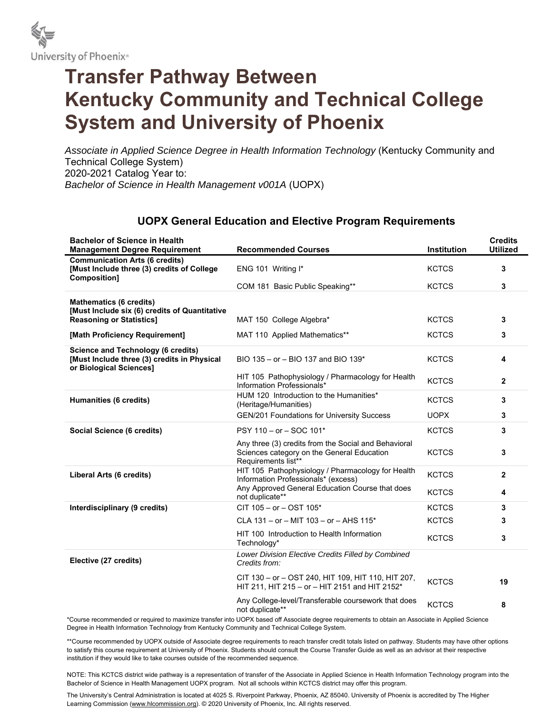

## **Transfer Pathway Between Kentucky Community and Technical College System and University of Phoenix**

*Associate in Applied Science Degree in Health Information Technology* (Kentucky Community and Technical College System) 2020-2021 Catalog Year to: *Bachelor of Science in Health Management v001A* (UOPX)

## **UOPX General Education and Elective Program Requirements**

| <b>Bachelor of Science in Health</b><br><b>Management Degree Requirement</b>                                        | <b>Recommended Courses</b>                                                                                                                  | Institution  | <b>Credits</b><br><b>Utilized</b> |
|---------------------------------------------------------------------------------------------------------------------|---------------------------------------------------------------------------------------------------------------------------------------------|--------------|-----------------------------------|
| <b>Communication Arts (6 credits)</b><br>[Must Include three (3) credits of College<br>Composition]                 | ENG 101 Writing I*                                                                                                                          | <b>KCTCS</b> | 3                                 |
|                                                                                                                     | COM 181 Basic Public Speaking**                                                                                                             | <b>KCTCS</b> | 3                                 |
| <b>Mathematics (6 credits)</b><br>[Must Include six (6) credits of Quantitative                                     |                                                                                                                                             |              |                                   |
| <b>Reasoning or Statistics]</b>                                                                                     | MAT 150 College Algebra*                                                                                                                    | <b>KCTCS</b> | 3                                 |
| [Math Proficiency Requirement]                                                                                      | MAT 110 Applied Mathematics**                                                                                                               | <b>KCTCS</b> | 3                                 |
| <b>Science and Technology (6 credits)</b><br>[Must Include three (3) credits in Physical<br>or Biological Sciences] | BIO 135 - or - BIO 137 and BIO 139*                                                                                                         | <b>KCTCS</b> | 4                                 |
|                                                                                                                     | HIT 105 Pathophysiology / Pharmacology for Health<br>Information Professionals*                                                             | <b>KCTCS</b> | $\mathbf{2}$                      |
| Humanities (6 credits)                                                                                              | HUM 120 Introduction to the Humanities*<br>(Heritage/Humanities)                                                                            | <b>KCTCS</b> | 3                                 |
|                                                                                                                     | GEN/201 Foundations for University Success                                                                                                  | <b>UOPX</b>  | 3                                 |
| Social Science (6 credits)                                                                                          | PSY 110 - or - SOC 101*                                                                                                                     | <b>KCTCS</b> | 3                                 |
|                                                                                                                     | Any three (3) credits from the Social and Behavioral<br>Sciences category on the General Education<br>Requirements list**                   | <b>KCTCS</b> | 3                                 |
| Liberal Arts (6 credits)                                                                                            | HIT 105 Pathophysiology / Pharmacology for Health<br>Information Professionals* (excess)<br>Any Approved General Education Course that does | <b>KCTCS</b> | $\overline{2}$                    |
|                                                                                                                     | not duplicate**                                                                                                                             | <b>KCTCS</b> | 4                                 |
| Interdisciplinary (9 credits)                                                                                       | $CIT 105 - or -OST 105*$                                                                                                                    | <b>KCTCS</b> | 3                                 |
|                                                                                                                     | CLA 131 - or - MIT 103 - or - AHS 115*                                                                                                      | <b>KCTCS</b> | 3                                 |
|                                                                                                                     | HIT 100 Introduction to Health Information<br>Technology*                                                                                   | <b>KCTCS</b> | 3                                 |
| Elective (27 credits)                                                                                               | Lower Division Elective Credits Filled by Combined<br>Credits from:                                                                         |              |                                   |
|                                                                                                                     | CIT 130 - or - OST 240, HIT 109, HIT 110, HIT 207,<br>HIT 211, HIT 215 - or - HIT 2151 and HIT 2152*                                        | <b>KCTCS</b> | 19                                |
|                                                                                                                     | Any College-level/Transferable coursework that does<br>not duplicate**                                                                      | <b>KCTCS</b> | 8                                 |

\*Course recommended or required to maximize transfer into UOPX based off Associate degree requirements to obtain an Associate in Applied Science Degree in Health Information Technology from Kentucky Community and Technical College System.

\*\*Course recommended by UOPX outside of Associate degree requirements to reach transfer credit totals listed on pathway. Students may have other options to satisfy this course requirement at University of Phoenix. Students should consult the Course Transfer Guide as well as an advisor at their respective institution if they would like to take courses outside of the recommended sequence.

NOTE: This KCTCS district wide pathway is a representation of transfer of the Associate in Applied Science in Health Information Technology program into the Bachelor of Science in Health Management UOPX program. Not all schools within KCTCS district may offer this program.

The University's Central Administration is located at 4025 S. Riverpoint Parkway, Phoenix, AZ 85040. University of Phoenix is accredited by The Higher Learning Commission (www.hlcommission.org). © 2020 University of Phoenix, Inc. All rights reserved.